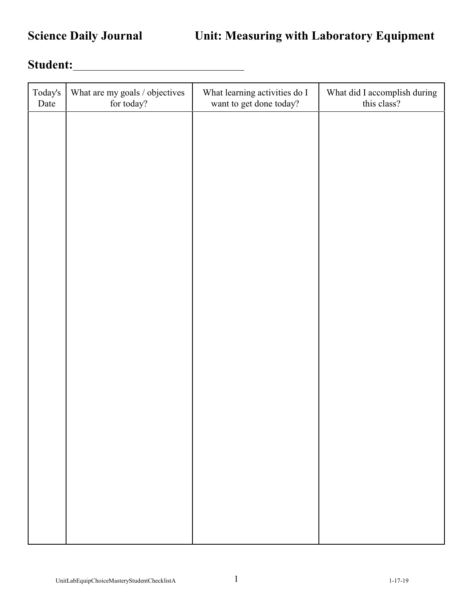## Student:

| Today's<br>Date | What are my goals / objectives<br>for today? | What learning activities do I<br>want to get done today? | What did I accomplish during<br>this class? |
|-----------------|----------------------------------------------|----------------------------------------------------------|---------------------------------------------|
|                 |                                              |                                                          |                                             |
|                 |                                              |                                                          |                                             |
|                 |                                              |                                                          |                                             |
|                 |                                              |                                                          |                                             |
|                 |                                              |                                                          |                                             |
|                 |                                              |                                                          |                                             |
|                 |                                              |                                                          |                                             |
|                 |                                              |                                                          |                                             |
|                 |                                              |                                                          |                                             |
|                 |                                              |                                                          |                                             |
|                 |                                              |                                                          |                                             |
|                 |                                              |                                                          |                                             |
|                 |                                              |                                                          |                                             |
|                 |                                              |                                                          |                                             |
|                 |                                              |                                                          |                                             |
|                 |                                              |                                                          |                                             |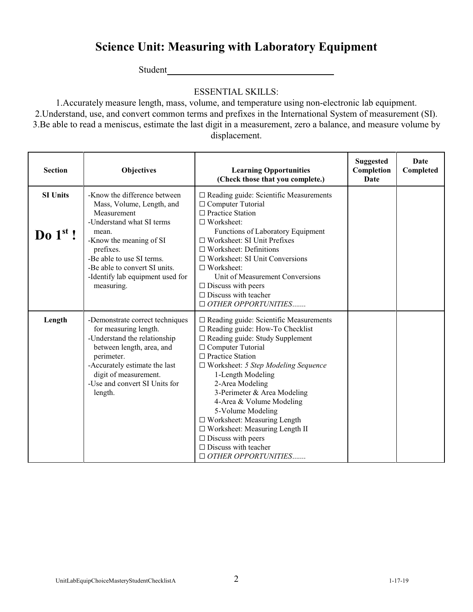## **Science Unit: Measuring with Laboratory Equipment**

Student

## ESSENTIAL SKILLS:

1.Accurately measure length, mass, volume, and temperature using non-electronic lab equipment. 2.Understand, use, and convert common terms and prefixes in the International System of measurement (SI). 3.Be able to read a meniscus, estimate the last digit in a measurement, zero a balance, and measure volume by displacement.

| <b>Section</b>                | <b>Objectives</b>                                                                                                                                                                                                                                                      | <b>Learning Opportunities</b><br>(Check those that you complete.)                                                                                                                                                                                                                                                                                                                                                                                                                                                                        | <b>Suggested</b><br>Completion<br>Date | <b>Date</b><br>Completed |
|-------------------------------|------------------------------------------------------------------------------------------------------------------------------------------------------------------------------------------------------------------------------------------------------------------------|------------------------------------------------------------------------------------------------------------------------------------------------------------------------------------------------------------------------------------------------------------------------------------------------------------------------------------------------------------------------------------------------------------------------------------------------------------------------------------------------------------------------------------------|----------------------------------------|--------------------------|
| <b>SI Units</b><br>Do $1st$ ! | -Know the difference between<br>Mass, Volume, Length, and<br>Measurement<br>-Understand what SI terms<br>mean.<br>-Know the meaning of SI<br>prefixes.<br>-Be able to use SI terms.<br>-Be able to convert SI units.<br>-Identify lab equipment used for<br>measuring. | $\square$ Reading guide: Scientific Measurements<br>$\Box$ Computer Tutorial<br>□ Practice Station<br>$\Box$ Worksheet:<br>Functions of Laboratory Equipment<br>$\Box$ Worksheet: SI Unit Prefixes<br>$\Box$ Worksheet: Definitions<br>$\Box$ Worksheet: SI Unit Conversions<br>$\Box$ Worksheet:<br>Unit of Measurement Conversions<br>$\square$ Discuss with peers<br>$\Box$ Discuss with teacher<br>$\Box$ OTHER OPPORTUNITIES                                                                                                        |                                        |                          |
| Length                        | -Demonstrate correct techniques<br>for measuring length.<br>-Understand the relationship<br>between length, area, and<br>perimeter.<br>-Accurately estimate the last<br>digit of measurement.<br>-Use and convert SI Units for<br>length.                              | $\square$ Reading guide: Scientific Measurements<br>$\Box$ Reading guide: How-To Checklist<br>$\Box$ Reading guide: Study Supplement<br>$\Box$ Computer Tutorial<br>$\Box$ Practice Station<br>$\Box$ Worksheet: 5 Step Modeling Sequence<br>1-Length Modeling<br>2-Area Modeling<br>3-Perimeter & Area Modeling<br>4-Area & Volume Modeling<br>5-Volume Modeling<br>$\Box$ Worksheet: Measuring Length<br>□ Worksheet: Measuring Length II<br>$\square$ Discuss with peers<br>$\Box$ Discuss with teacher<br>$\Box$ OTHER OPPORTUNITIES |                                        |                          |